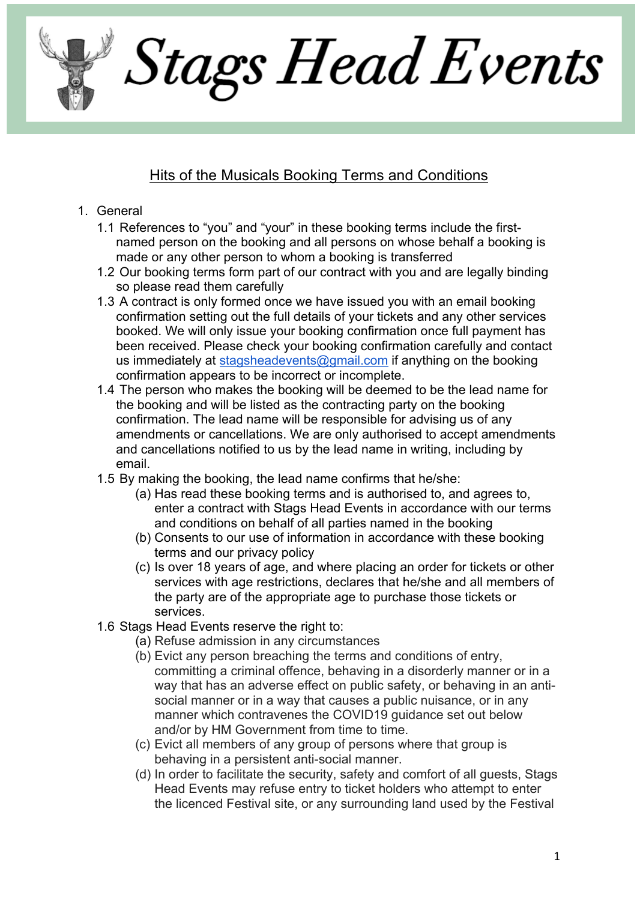Stags Head Events

## Hits of the Musicals Booking Terms and Conditions

- 1. General
	- 1.1 References to "you" and "your" in these booking terms include the firstnamed person on the booking and all persons on whose behalf a booking is made or any other person to whom a booking is transferred
	- 1.2 Our booking terms form part of our contract with you and are legally binding so please read them carefully
	- 1.3 A contract is only formed once we have issued you with an email booking confirmation setting out the full details of your tickets and any other services booked. We will only issue your booking confirmation once full payment has been received. Please check your booking confirmation carefully and contact us immediately at stagsheadevents@gmail.com if anything on the booking confirmation appears to be incorrect or incomplete.
	- 1.4 The person who makes the booking will be deemed to be the lead name for the booking and will be listed as the contracting party on the booking confirmation. The lead name will be responsible for advising us of any amendments or cancellations. We are only authorised to accept amendments and cancellations notified to us by the lead name in writing, including by email.
	- 1.5 By making the booking, the lead name confirms that he/she:
		- (a) Has read these booking terms and is authorised to, and agrees to, enter a contract with Stags Head Events in accordance with our terms and conditions on behalf of all parties named in the booking
		- (b) Consents to our use of information in accordance with these booking terms and our privacy policy
		- (c) Is over 18 years of age, and where placing an order for tickets or other services with age restrictions, declares that he/she and all members of the party are of the appropriate age to purchase those tickets or services.
	- 1.6 Stags Head Events reserve the right to:
		- (a) Refuse admission in any circumstances
		- (b) Evict any person breaching the terms and conditions of entry, committing a criminal offence, behaving in a disorderly manner or in a way that has an adverse effect on public safety, or behaving in an antisocial manner or in a way that causes a public nuisance, or in any manner which contravenes the COVID19 guidance set out below and/or by HM Government from time to time.
		- (c) Evict all members of any group of persons where that group is behaving in a persistent anti-social manner.
		- (d) In order to facilitate the security, safety and comfort of all guests, Stags Head Events may refuse entry to ticket holders who attempt to enter the licenced Festival site, or any surrounding land used by the Festival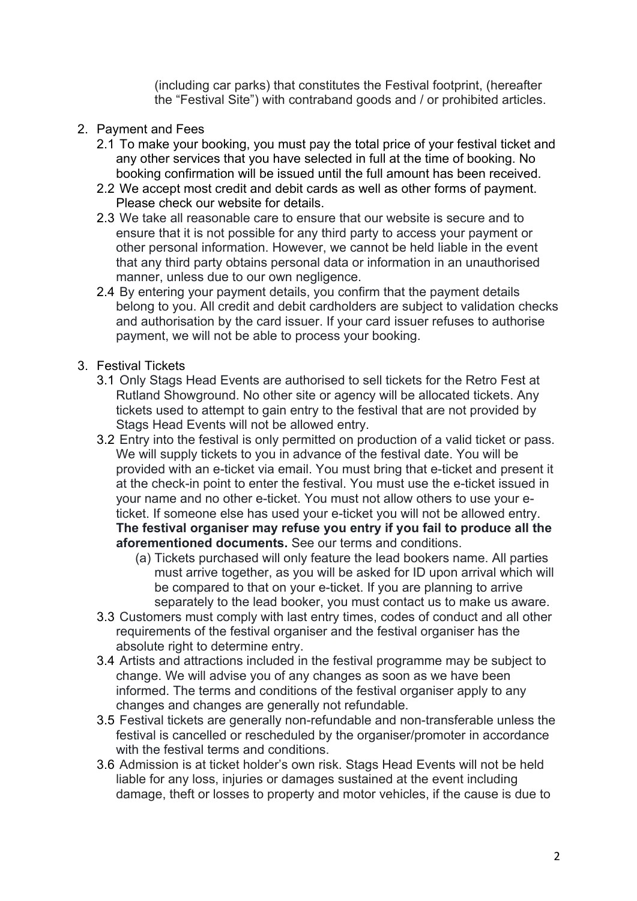(including car parks) that constitutes the Festival footprint, (hereafter the "Festival Site") with contraband goods and / or prohibited articles.

- 2. Payment and Fees
	- 2.1 To make your booking, you must pay the total price of your festival ticket and any other services that you have selected in full at the time of booking. No booking confirmation will be issued until the full amount has been received.
	- 2.2 We accept most credit and debit cards as well as other forms of payment. Please check our website for details.
	- 2.3 We take all reasonable care to ensure that our website is secure and to ensure that it is not possible for any third party to access your payment or other personal information. However, we cannot be held liable in the event that any third party obtains personal data or information in an unauthorised manner, unless due to our own negligence.
	- 2.4 By entering your payment details, you confirm that the payment details belong to you. All credit and debit cardholders are subject to validation checks and authorisation by the card issuer. If your card issuer refuses to authorise payment, we will not be able to process your booking.
- 3. Festival Tickets
	- 3.1 Only Stags Head Events are authorised to sell tickets for the Retro Fest at Rutland Showground. No other site or agency will be allocated tickets. Any tickets used to attempt to gain entry to the festival that are not provided by Stags Head Events will not be allowed entry.
	- 3.2 Entry into the festival is only permitted on production of a valid ticket or pass. We will supply tickets to you in advance of the festival date. You will be provided with an e-ticket via email. You must bring that e-ticket and present it at the check-in point to enter the festival. You must use the e-ticket issued in your name and no other e-ticket. You must not allow others to use your eticket. If someone else has used your e-ticket you will not be allowed entry. **The festival organiser may refuse you entry if you fail to produce all the aforementioned documents.** See our terms and conditions.
		- (a) Tickets purchased will only feature the lead bookers name. All parties must arrive together, as you will be asked for ID upon arrival which will be compared to that on your e-ticket. If you are planning to arrive separately to the lead booker, you must contact us to make us aware.
	- 3.3 Customers must comply with last entry times, codes of conduct and all other requirements of the festival organiser and the festival organiser has the absolute right to determine entry.
	- 3.4 Artists and attractions included in the festival programme may be subject to change. We will advise you of any changes as soon as we have been informed. The terms and conditions of the festival organiser apply to any changes and changes are generally not refundable.
	- 3.5 Festival tickets are generally non-refundable and non-transferable unless the festival is cancelled or rescheduled by the organiser/promoter in accordance with the festival terms and conditions.
	- 3.6 Admission is at ticket holder's own risk. Stags Head Events will not be held liable for any loss, injuries or damages sustained at the event including damage, theft or losses to property and motor vehicles, if the cause is due to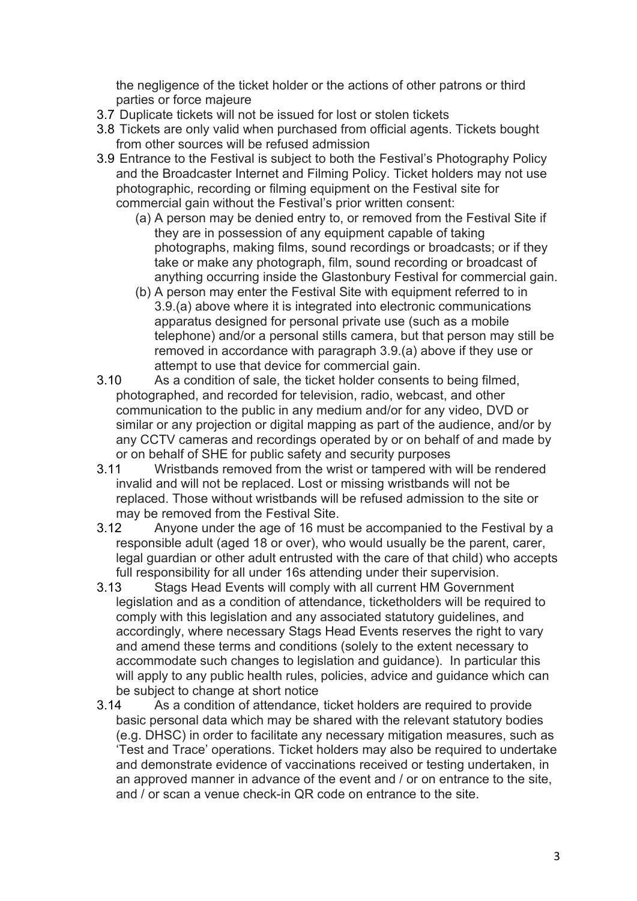the negligence of the ticket holder or the actions of other patrons or third parties or force majeure

- 3.7 Duplicate tickets will not be issued for lost or stolen tickets
- 3.8 Tickets are only valid when purchased from official agents. Tickets bought from other sources will be refused admission
- 3.9 Entrance to the Festival is subject to both the Festival's Photography Policy and the Broadcaster Internet and Filming Policy. Ticket holders may not use photographic, recording or filming equipment on the Festival site for commercial gain without the Festival's prior written consent:
	- (a) A person may be denied entry to, or removed from the Festival Site if they are in possession of any equipment capable of taking photographs, making films, sound recordings or broadcasts; or if they take or make any photograph, film, sound recording or broadcast of anything occurring inside the Glastonbury Festival for commercial gain.
	- (b) A person may enter the Festival Site with equipment referred to in 3.9.(a) above where it is integrated into electronic communications apparatus designed for personal private use (such as a mobile telephone) and/or a personal stills camera, but that person may still be removed in accordance with paragraph 3.9.(a) above if they use or attempt to use that device for commercial gain.
- 3.10 As a condition of sale, the ticket holder consents to being filmed, photographed, and recorded for television, radio, webcast, and other communication to the public in any medium and/or for any video, DVD or similar or any projection or digital mapping as part of the audience, and/or by any CCTV cameras and recordings operated by or on behalf of and made by or on behalf of SHE for public safety and security purposes
- 3.11 Wristbands removed from the wrist or tampered with will be rendered invalid and will not be replaced. Lost or missing wristbands will not be replaced. Those without wristbands will be refused admission to the site or may be removed from the Festival Site.
- 3.12 Anyone under the age of 16 must be accompanied to the Festival by a responsible adult (aged 18 or over), who would usually be the parent, carer, legal guardian or other adult entrusted with the care of that child) who accepts full responsibility for all under 16s attending under their supervision.
- 3.13 Stags Head Events will comply with all current HM Government legislation and as a condition of attendance, ticketholders will be required to comply with this legislation and any associated statutory guidelines, and accordingly, where necessary Stags Head Events reserves the right to vary and amend these terms and conditions (solely to the extent necessary to accommodate such changes to legislation and guidance). In particular this will apply to any public health rules, policies, advice and guidance which can be subject to change at short notice
- 3.14 As a condition of attendance, ticket holders are required to provide basic personal data which may be shared with the relevant statutory bodies (e.g. DHSC) in order to facilitate any necessary mitigation measures, such as 'Test and Trace' operations. Ticket holders may also be required to undertake and demonstrate evidence of vaccinations received or testing undertaken, in an approved manner in advance of the event and / or on entrance to the site, and / or scan a venue check-in QR code on entrance to the site.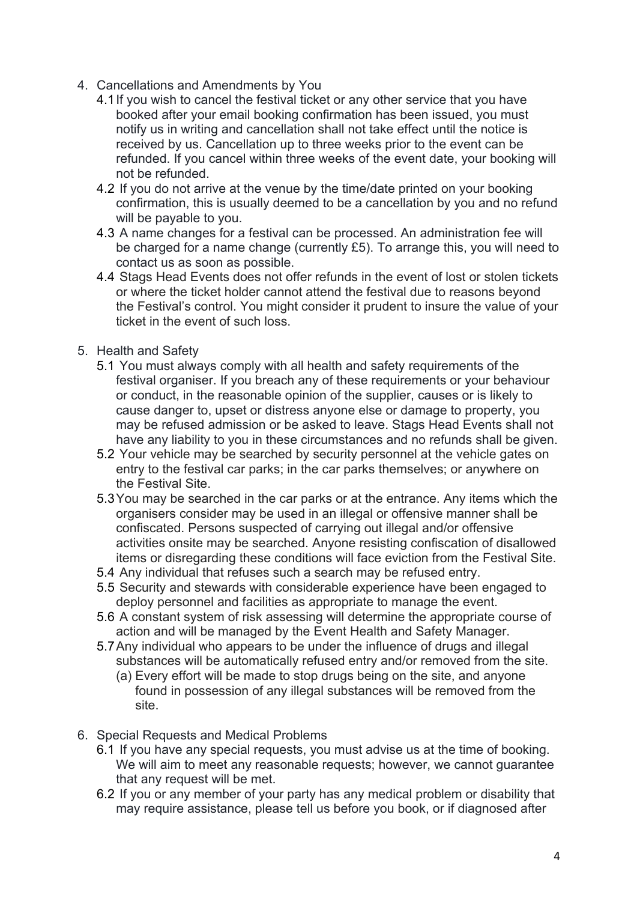- 4. Cancellations and Amendments by You
	- 4.1If you wish to cancel the festival ticket or any other service that you have booked after your email booking confirmation has been issued, you must notify us in writing and cancellation shall not take effect until the notice is received by us. Cancellation up to three weeks prior to the event can be refunded. If you cancel within three weeks of the event date, your booking will not be refunded.
	- 4.2 If you do not arrive at the venue by the time/date printed on your booking confirmation, this is usually deemed to be a cancellation by you and no refund will be payable to you.
	- 4.3 A name changes for a festival can be processed. An administration fee will be charged for a name change (currently £5). To arrange this, you will need to contact us as soon as possible.
	- 4.4 Stags Head Events does not offer refunds in the event of lost or stolen tickets or where the ticket holder cannot attend the festival due to reasons beyond the Festival's control. You might consider it prudent to insure the value of your ticket in the event of such loss.
- 5. Health and Safety
	- 5.1 You must always comply with all health and safety requirements of the festival organiser. If you breach any of these requirements or your behaviour or conduct, in the reasonable opinion of the supplier, causes or is likely to cause danger to, upset or distress anyone else or damage to property, you may be refused admission or be asked to leave. Stags Head Events shall not have any liability to you in these circumstances and no refunds shall be given.
	- 5.2 Your vehicle may be searched by security personnel at the vehicle gates on entry to the festival car parks; in the car parks themselves; or anywhere on the Festival Site.
	- 5.3You may be searched in the car parks or at the entrance. Any items which the organisers consider may be used in an illegal or offensive manner shall be confiscated. Persons suspected of carrying out illegal and/or offensive activities onsite may be searched. Anyone resisting confiscation of disallowed items or disregarding these conditions will face eviction from the Festival Site.
	- 5.4 Any individual that refuses such a search may be refused entry.
	- 5.5 Security and stewards with considerable experience have been engaged to deploy personnel and facilities as appropriate to manage the event.
	- 5.6 A constant system of risk assessing will determine the appropriate course of action and will be managed by the Event Health and Safety Manager.
	- 5.7Any individual who appears to be under the influence of drugs and illegal substances will be automatically refused entry and/or removed from the site.
		- (a) Every effort will be made to stop drugs being on the site, and anyone found in possession of any illegal substances will be removed from the site.
- 6. Special Requests and Medical Problems
	- 6.1 If you have any special requests, you must advise us at the time of booking. We will aim to meet any reasonable requests; however, we cannot guarantee that any request will be met.
	- 6.2 If you or any member of your party has any medical problem or disability that may require assistance, please tell us before you book, or if diagnosed after